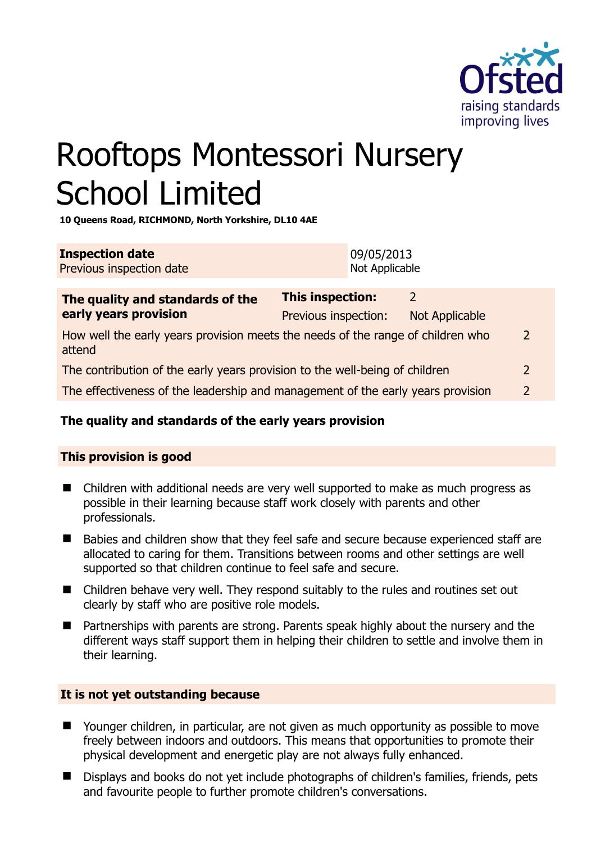

# Rooftops Montessori Nursery School Limited

**10 Queens Road, RICHMOND, North Yorkshire, DL10 4AE** 

| <b>Inspection date</b>   | 09/05/2013     |
|--------------------------|----------------|
| Previous inspection date | Not Applicable |

| The quality and standards of the<br>early years provision                                 | <b>This inspection:</b> | 2              |               |
|-------------------------------------------------------------------------------------------|-------------------------|----------------|---------------|
|                                                                                           | Previous inspection:    | Not Applicable |               |
| How well the early years provision meets the needs of the range of children who<br>attend |                         |                | 2             |
| The contribution of the early years provision to the well-being of children               |                         |                | $\mathcal{P}$ |
| The effectiveness of the leadership and management of the early years provision           |                         |                | $\mathcal{P}$ |
|                                                                                           |                         |                |               |

# **The quality and standards of the early years provision**

# **This provision is good**

- Children with additional needs are very well supported to make as much progress as possible in their learning because staff work closely with parents and other professionals.
- Babies and children show that they feel safe and secure because experienced staff are allocated to caring for them. Transitions between rooms and other settings are well supported so that children continue to feel safe and secure.
- Children behave very well. They respond suitably to the rules and routines set out clearly by staff who are positive role models.
- Partnerships with parents are strong. Parents speak highly about the nursery and the different ways staff support them in helping their children to settle and involve them in their learning.

# **It is not yet outstanding because**

- Younger children, in particular, are not given as much opportunity as possible to move freely between indoors and outdoors. This means that opportunities to promote their physical development and energetic play are not always fully enhanced.
- Displays and books do not yet include photographs of children's families, friends, pets and favourite people to further promote children's conversations.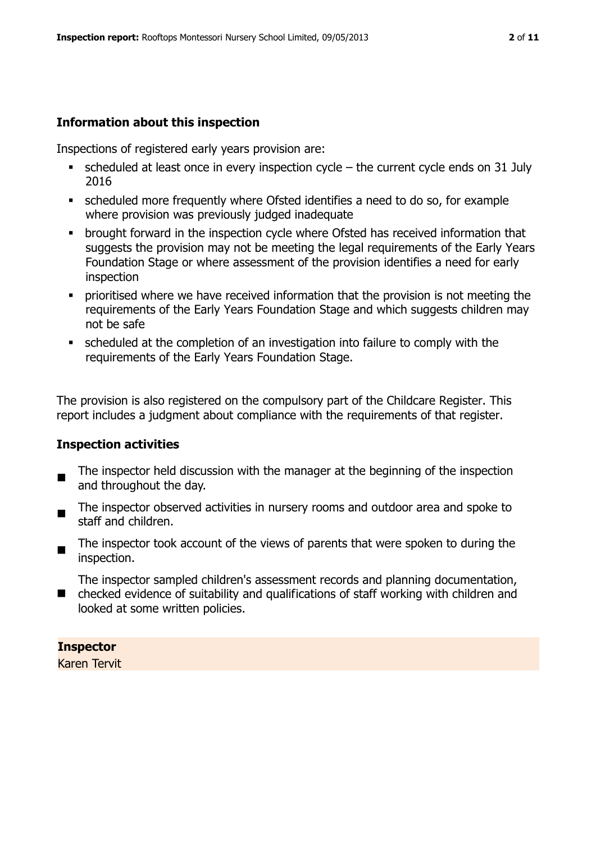# **Information about this inspection**

Inspections of registered early years provision are:

- $\bullet$  scheduled at least once in every inspection cycle the current cycle ends on 31 July 2016
- scheduled more frequently where Ofsted identifies a need to do so, for example where provision was previously judged inadequate
- **•** brought forward in the inspection cycle where Ofsted has received information that suggests the provision may not be meeting the legal requirements of the Early Years Foundation Stage or where assessment of the provision identifies a need for early inspection
- **Prioritised where we have received information that the provision is not meeting the** requirements of the Early Years Foundation Stage and which suggests children may not be safe
- scheduled at the completion of an investigation into failure to comply with the requirements of the Early Years Foundation Stage.

The provision is also registered on the compulsory part of the Childcare Register. This report includes a judgment about compliance with the requirements of that register.

#### **Inspection activities**

- $\blacksquare$ The inspector held discussion with the manager at the beginning of the inspection and throughout the day.
- The inspector observed activities in nursery rooms and outdoor area and spoke to staff and children.
- The inspector took account of the views of parents that were spoken to during the inspection.

The inspector sampled children's assessment records and planning documentation,

■ checked evidence of suitability and qualifications of staff working with children and looked at some written policies.

#### **Inspector**

Karen Tervit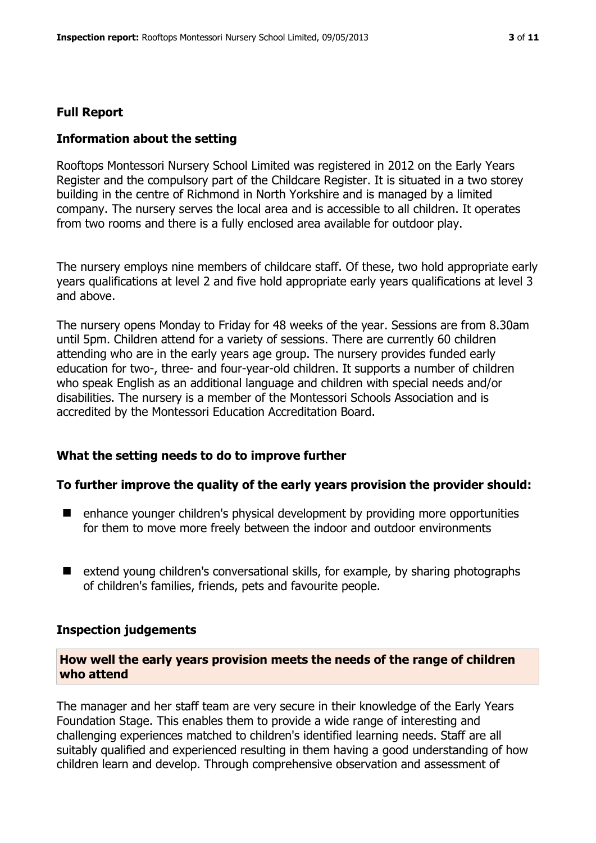#### **Full Report**

#### **Information about the setting**

Rooftops Montessori Nursery School Limited was registered in 2012 on the Early Years Register and the compulsory part of the Childcare Register. It is situated in a two storey building in the centre of Richmond in North Yorkshire and is managed by a limited company. The nursery serves the local area and is accessible to all children. It operates from two rooms and there is a fully enclosed area available for outdoor play.

The nursery employs nine members of childcare staff. Of these, two hold appropriate early years qualifications at level 2 and five hold appropriate early years qualifications at level 3 and above.

The nursery opens Monday to Friday for 48 weeks of the year. Sessions are from 8.30am until 5pm. Children attend for a variety of sessions. There are currently 60 children attending who are in the early years age group. The nursery provides funded early education for two-, three- and four-year-old children. It supports a number of children who speak English as an additional language and children with special needs and/or disabilities. The nursery is a member of the Montessori Schools Association and is accredited by the Montessori Education Accreditation Board.

#### **What the setting needs to do to improve further**

#### **To further improve the quality of the early years provision the provider should:**

- enhance younger children's physical development by providing more opportunities for them to move more freely between the indoor and outdoor environments
- extend young children's conversational skills, for example, by sharing photographs of children's families, friends, pets and favourite people.

#### **Inspection judgements**

#### **How well the early years provision meets the needs of the range of children who attend**

The manager and her staff team are very secure in their knowledge of the Early Years Foundation Stage. This enables them to provide a wide range of interesting and challenging experiences matched to children's identified learning needs. Staff are all suitably qualified and experienced resulting in them having a good understanding of how children learn and develop. Through comprehensive observation and assessment of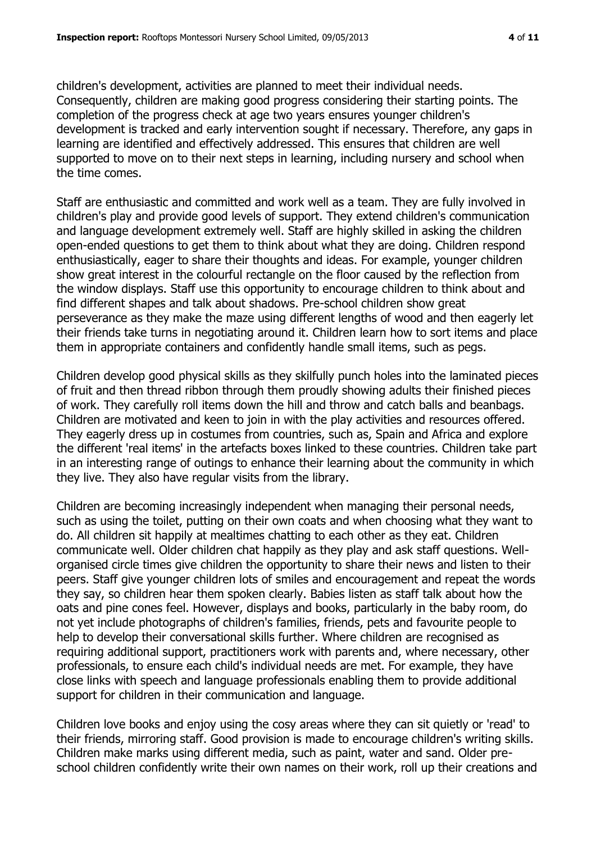children's development, activities are planned to meet their individual needs. Consequently, children are making good progress considering their starting points. The completion of the progress check at age two years ensures younger children's development is tracked and early intervention sought if necessary. Therefore, any gaps in learning are identified and effectively addressed. This ensures that children are well supported to move on to their next steps in learning, including nursery and school when the time comes.

Staff are enthusiastic and committed and work well as a team. They are fully involved in children's play and provide good levels of support. They extend children's communication and language development extremely well. Staff are highly skilled in asking the children open-ended questions to get them to think about what they are doing. Children respond enthusiastically, eager to share their thoughts and ideas. For example, younger children show great interest in the colourful rectangle on the floor caused by the reflection from the window displays. Staff use this opportunity to encourage children to think about and find different shapes and talk about shadows. Pre-school children show great perseverance as they make the maze using different lengths of wood and then eagerly let their friends take turns in negotiating around it. Children learn how to sort items and place them in appropriate containers and confidently handle small items, such as pegs.

Children develop good physical skills as they skilfully punch holes into the laminated pieces of fruit and then thread ribbon through them proudly showing adults their finished pieces of work. They carefully roll items down the hill and throw and catch balls and beanbags. Children are motivated and keen to join in with the play activities and resources offered. They eagerly dress up in costumes from countries, such as, Spain and Africa and explore the different 'real items' in the artefacts boxes linked to these countries. Children take part in an interesting range of outings to enhance their learning about the community in which they live. They also have regular visits from the library.

Children are becoming increasingly independent when managing their personal needs, such as using the toilet, putting on their own coats and when choosing what they want to do. All children sit happily at mealtimes chatting to each other as they eat. Children communicate well. Older children chat happily as they play and ask staff questions. Wellorganised circle times give children the opportunity to share their news and listen to their peers. Staff give younger children lots of smiles and encouragement and repeat the words they say, so children hear them spoken clearly. Babies listen as staff talk about how the oats and pine cones feel. However, displays and books, particularly in the baby room, do not yet include photographs of children's families, friends, pets and favourite people to help to develop their conversational skills further. Where children are recognised as requiring additional support, practitioners work with parents and, where necessary, other professionals, to ensure each child's individual needs are met. For example, they have close links with speech and language professionals enabling them to provide additional support for children in their communication and language.

Children love books and enjoy using the cosy areas where they can sit quietly or 'read' to their friends, mirroring staff. Good provision is made to encourage children's writing skills. Children make marks using different media, such as paint, water and sand. Older preschool children confidently write their own names on their work, roll up their creations and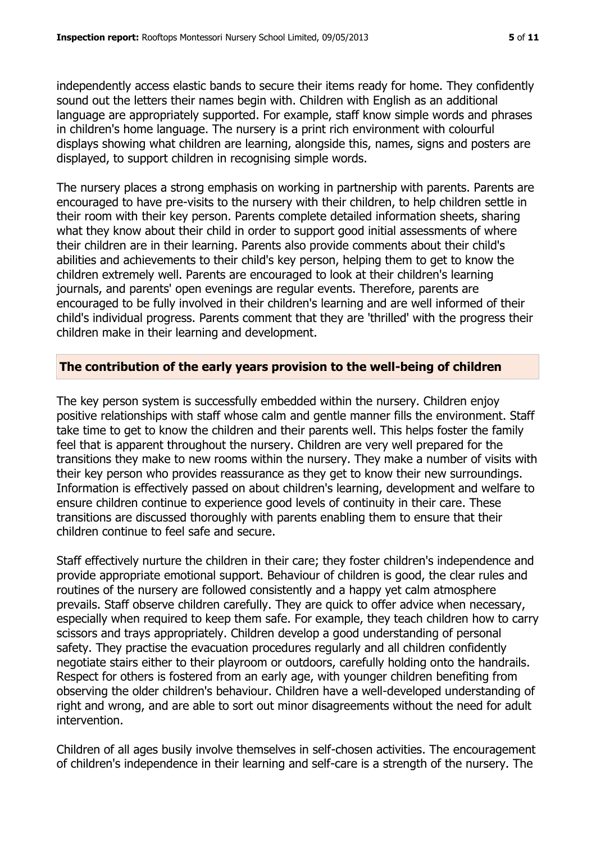independently access elastic bands to secure their items ready for home. They confidently sound out the letters their names begin with. Children with English as an additional language are appropriately supported. For example, staff know simple words and phrases in children's home language. The nursery is a print rich environment with colourful displays showing what children are learning, alongside this, names, signs and posters are displayed, to support children in recognising simple words.

The nursery places a strong emphasis on working in partnership with parents. Parents are encouraged to have pre-visits to the nursery with their children, to help children settle in their room with their key person. Parents complete detailed information sheets, sharing what they know about their child in order to support good initial assessments of where their children are in their learning. Parents also provide comments about their child's abilities and achievements to their child's key person, helping them to get to know the children extremely well. Parents are encouraged to look at their children's learning journals, and parents' open evenings are regular events. Therefore, parents are encouraged to be fully involved in their children's learning and are well informed of their child's individual progress. Parents comment that they are 'thrilled' with the progress their children make in their learning and development.

#### **The contribution of the early years provision to the well-being of children**

The key person system is successfully embedded within the nursery. Children enjoy positive relationships with staff whose calm and gentle manner fills the environment. Staff take time to get to know the children and their parents well. This helps foster the family feel that is apparent throughout the nursery. Children are very well prepared for the transitions they make to new rooms within the nursery. They make a number of visits with their key person who provides reassurance as they get to know their new surroundings. Information is effectively passed on about children's learning, development and welfare to ensure children continue to experience good levels of continuity in their care. These transitions are discussed thoroughly with parents enabling them to ensure that their children continue to feel safe and secure.

Staff effectively nurture the children in their care; they foster children's independence and provide appropriate emotional support. Behaviour of children is good, the clear rules and routines of the nursery are followed consistently and a happy yet calm atmosphere prevails. Staff observe children carefully. They are quick to offer advice when necessary, especially when required to keep them safe. For example, they teach children how to carry scissors and trays appropriately. Children develop a good understanding of personal safety. They practise the evacuation procedures regularly and all children confidently negotiate stairs either to their playroom or outdoors, carefully holding onto the handrails. Respect for others is fostered from an early age, with younger children benefiting from observing the older children's behaviour. Children have a well-developed understanding of right and wrong, and are able to sort out minor disagreements without the need for adult intervention.

Children of all ages busily involve themselves in self-chosen activities. The encouragement of children's independence in their learning and self-care is a strength of the nursery. The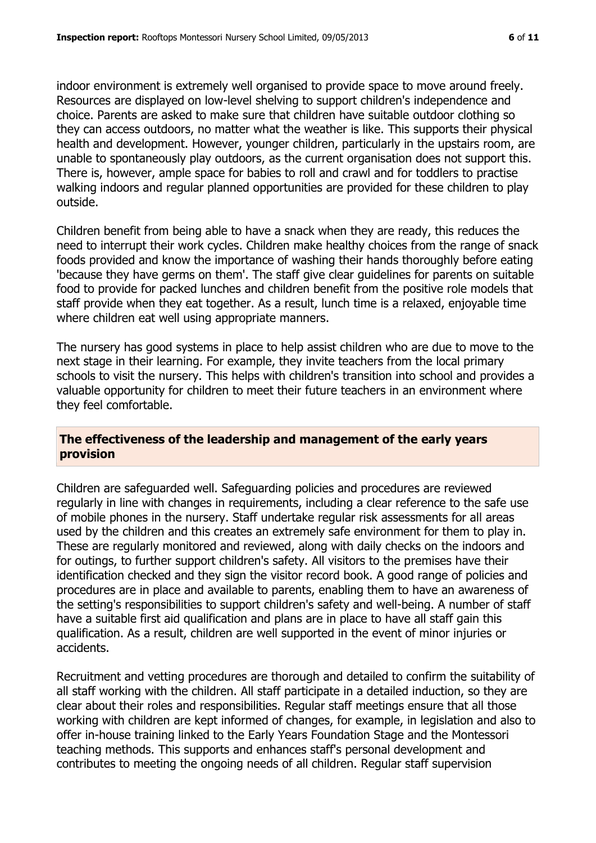indoor environment is extremely well organised to provide space to move around freely. Resources are displayed on low-level shelving to support children's independence and choice. Parents are asked to make sure that children have suitable outdoor clothing so they can access outdoors, no matter what the weather is like. This supports their physical health and development. However, younger children, particularly in the upstairs room, are unable to spontaneously play outdoors, as the current organisation does not support this. There is, however, ample space for babies to roll and crawl and for toddlers to practise walking indoors and regular planned opportunities are provided for these children to play outside.

Children benefit from being able to have a snack when they are ready, this reduces the need to interrupt their work cycles. Children make healthy choices from the range of snack foods provided and know the importance of washing their hands thoroughly before eating 'because they have germs on them'. The staff give clear guidelines for parents on suitable food to provide for packed lunches and children benefit from the positive role models that staff provide when they eat together. As a result, lunch time is a relaxed, enjoyable time where children eat well using appropriate manners.

The nursery has good systems in place to help assist children who are due to move to the next stage in their learning. For example, they invite teachers from the local primary schools to visit the nursery. This helps with children's transition into school and provides a valuable opportunity for children to meet their future teachers in an environment where they feel comfortable.

#### **The effectiveness of the leadership and management of the early years provision**

Children are safeguarded well. Safeguarding policies and procedures are reviewed regularly in line with changes in requirements, including a clear reference to the safe use of mobile phones in the nursery. Staff undertake regular risk assessments for all areas used by the children and this creates an extremely safe environment for them to play in. These are regularly monitored and reviewed, along with daily checks on the indoors and for outings, to further support children's safety. All visitors to the premises have their identification checked and they sign the visitor record book. A good range of policies and procedures are in place and available to parents, enabling them to have an awareness of the setting's responsibilities to support children's safety and well-being. A number of staff have a suitable first aid qualification and plans are in place to have all staff gain this qualification. As a result, children are well supported in the event of minor injuries or accidents.

Recruitment and vetting procedures are thorough and detailed to confirm the suitability of all staff working with the children. All staff participate in a detailed induction, so they are clear about their roles and responsibilities. Regular staff meetings ensure that all those working with children are kept informed of changes, for example, in legislation and also to offer in-house training linked to the Early Years Foundation Stage and the Montessori teaching methods. This supports and enhances staff's personal development and contributes to meeting the ongoing needs of all children. Regular staff supervision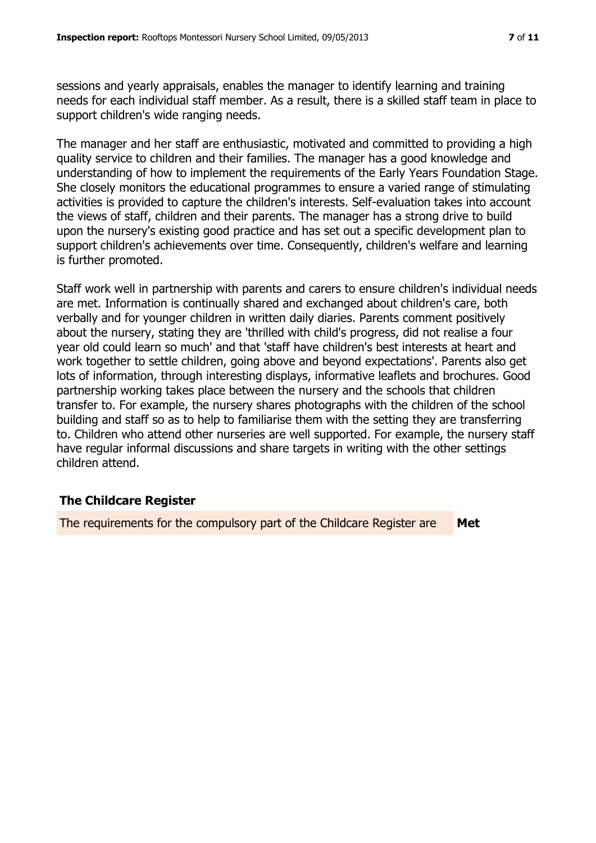sessions and yearly appraisals, enables the manager to identify learning and training needs for each individual staff member. As a result, there is a skilled staff team in place to support children's wide ranging needs.

The manager and her staff are enthusiastic, motivated and committed to providing a high quality service to children and their families. The manager has a good knowledge and understanding of how to implement the requirements of the Early Years Foundation Stage. She closely monitors the educational programmes to ensure a varied range of stimulating activities is provided to capture the children's interests. Self-evaluation takes into account the views of staff, children and their parents. The manager has a strong drive to build upon the nursery's existing good practice and has set out a specific development plan to support children's achievements over time. Consequently, children's welfare and learning is further promoted.

Staff work well in partnership with parents and carers to ensure children's individual needs are met. Information is continually shared and exchanged about children's care, both verbally and for younger children in written daily diaries. Parents comment positively about the nursery, stating they are 'thrilled with child's progress, did not realise a four year old could learn so much' and that 'staff have children's best interests at heart and work together to settle children, going above and beyond expectations'. Parents also get lots of information, through interesting displays, informative leaflets and brochures. Good partnership working takes place between the nursery and the schools that children transfer to. For example, the nursery shares photographs with the children of the school building and staff so as to help to familiarise them with the setting they are transferring to. Children who attend other nurseries are well supported. For example, the nursery staff have regular informal discussions and share targets in writing with the other settings children attend.

# **The Childcare Register**

The requirements for the compulsory part of the Childcare Register are **Met**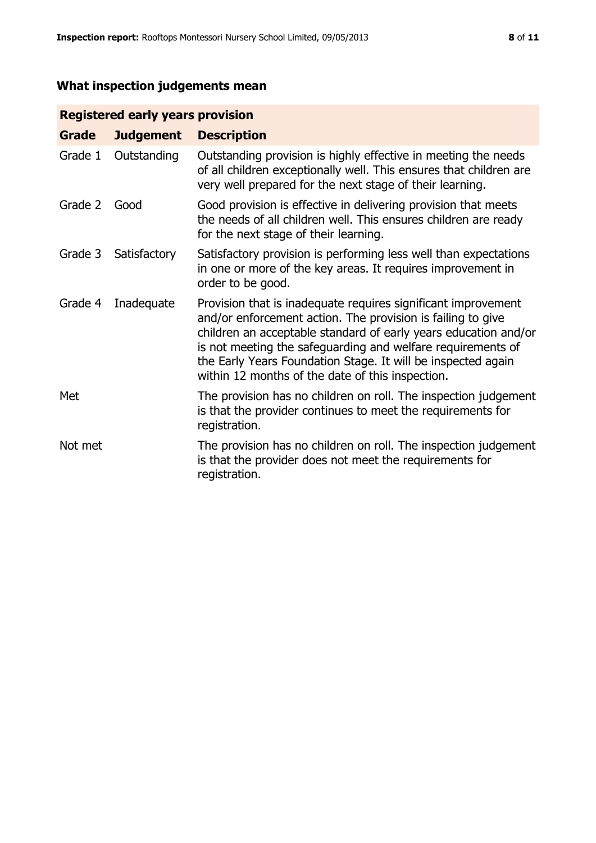# **What inspection judgements mean**

# **Registered early years provision**

| Grade   | <b>Judgement</b> | <b>Description</b>                                                                                                                                                                                                                                                                                                                                                                 |
|---------|------------------|------------------------------------------------------------------------------------------------------------------------------------------------------------------------------------------------------------------------------------------------------------------------------------------------------------------------------------------------------------------------------------|
| Grade 1 | Outstanding      | Outstanding provision is highly effective in meeting the needs<br>of all children exceptionally well. This ensures that children are<br>very well prepared for the next stage of their learning.                                                                                                                                                                                   |
| Grade 2 | Good             | Good provision is effective in delivering provision that meets<br>the needs of all children well. This ensures children are ready<br>for the next stage of their learning.                                                                                                                                                                                                         |
| Grade 3 | Satisfactory     | Satisfactory provision is performing less well than expectations<br>in one or more of the key areas. It requires improvement in<br>order to be good.                                                                                                                                                                                                                               |
| Grade 4 | Inadequate       | Provision that is inadequate requires significant improvement<br>and/or enforcement action. The provision is failing to give<br>children an acceptable standard of early years education and/or<br>is not meeting the safeguarding and welfare requirements of<br>the Early Years Foundation Stage. It will be inspected again<br>within 12 months of the date of this inspection. |
| Met     |                  | The provision has no children on roll. The inspection judgement<br>is that the provider continues to meet the requirements for<br>registration.                                                                                                                                                                                                                                    |
| Not met |                  | The provision has no children on roll. The inspection judgement<br>is that the provider does not meet the requirements for<br>registration.                                                                                                                                                                                                                                        |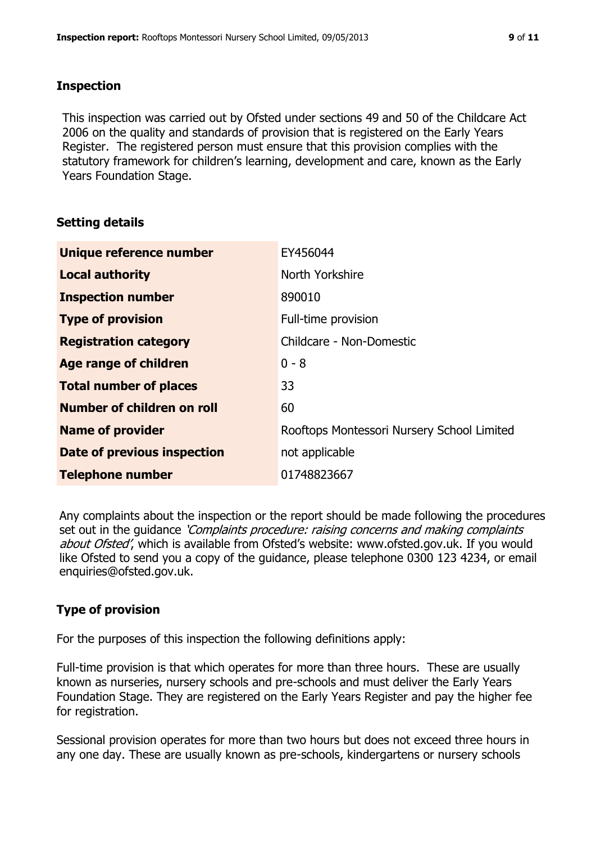#### **Inspection**

This inspection was carried out by Ofsted under sections 49 and 50 of the Childcare Act 2006 on the quality and standards of provision that is registered on the Early Years Register. The registered person must ensure that this provision complies with the statutory framework for children's learning, development and care, known as the Early Years Foundation Stage.

# **Setting details**

| Unique reference number           | EY456044                                   |
|-----------------------------------|--------------------------------------------|
| <b>Local authority</b>            | North Yorkshire                            |
| <b>Inspection number</b>          | 890010                                     |
| <b>Type of provision</b>          | Full-time provision                        |
| <b>Registration category</b>      | Childcare - Non-Domestic                   |
| Age range of children             | $0 - 8$                                    |
| <b>Total number of places</b>     | 33                                         |
| <b>Number of children on roll</b> | 60                                         |
| <b>Name of provider</b>           | Rooftops Montessori Nursery School Limited |
| Date of previous inspection       | not applicable                             |
| <b>Telephone number</b>           | 01748823667                                |

Any complaints about the inspection or the report should be made following the procedures set out in the guidance *'Complaints procedure: raising concerns and making complaints* about Ofsted', which is available from Ofsted's website: www.ofsted.gov.uk. If you would like Ofsted to send you a copy of the guidance, please telephone 0300 123 4234, or email enquiries@ofsted.gov.uk.

# **Type of provision**

For the purposes of this inspection the following definitions apply:

Full-time provision is that which operates for more than three hours. These are usually known as nurseries, nursery schools and pre-schools and must deliver the Early Years Foundation Stage. They are registered on the Early Years Register and pay the higher fee for registration.

Sessional provision operates for more than two hours but does not exceed three hours in any one day. These are usually known as pre-schools, kindergartens or nursery schools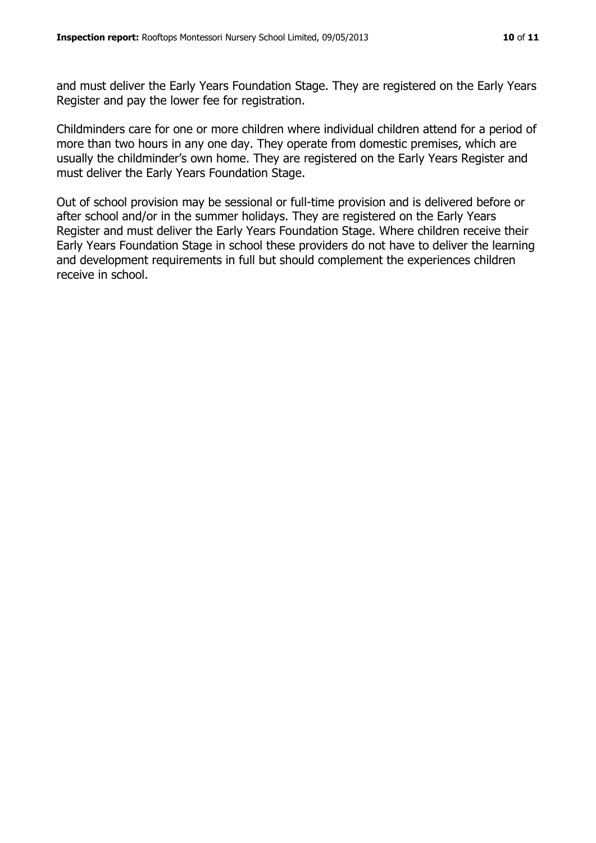and must deliver the Early Years Foundation Stage. They are registered on the Early Years Register and pay the lower fee for registration.

Childminders care for one or more children where individual children attend for a period of more than two hours in any one day. They operate from domestic premises, which are usually the childminder's own home. They are registered on the Early Years Register and must deliver the Early Years Foundation Stage.

Out of school provision may be sessional or full-time provision and is delivered before or after school and/or in the summer holidays. They are registered on the Early Years Register and must deliver the Early Years Foundation Stage. Where children receive their Early Years Foundation Stage in school these providers do not have to deliver the learning and development requirements in full but should complement the experiences children receive in school.